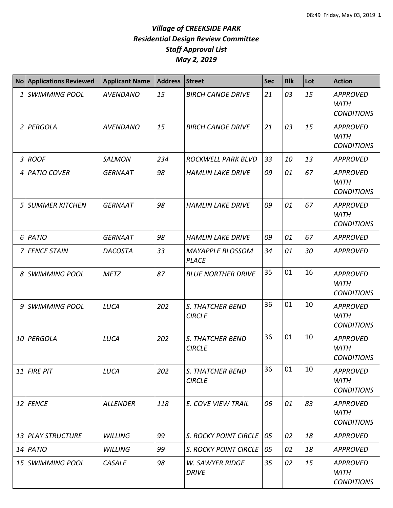|   | No Applications Reviewed | <b>Applicant Name</b> | <b>Address</b> | Street                                   | <b>Sec</b> | <b>Blk</b> | Lot | <b>Action</b>                                       |
|---|--------------------------|-----------------------|----------------|------------------------------------------|------------|------------|-----|-----------------------------------------------------|
| 1 | <b>SWIMMING POOL</b>     | <b>AVENDANO</b>       | 15             | <b>BIRCH CANOE DRIVE</b>                 | 21         | 03         | 15  | <b>APPROVED</b><br><b>WITH</b><br><b>CONDITIONS</b> |
|   | 2 PERGOLA                | <b>AVENDANO</b>       | 15             | <b>BIRCH CANOE DRIVE</b>                 | 21         | 03         | 15  | <b>APPROVED</b><br><b>WITH</b><br><b>CONDITIONS</b> |
|   | 3 ROOF                   | <b>SALMON</b>         | 234            | ROCKWELL PARK BLVD                       | 33         | 10         | 13  | <b>APPROVED</b>                                     |
| 4 | PATIO COVER              | <b>GERNAAT</b>        | 98             | <b>HAMLIN LAKE DRIVE</b>                 | 09         | 01         | 67  | <b>APPROVED</b><br><b>WITH</b><br><b>CONDITIONS</b> |
| 5 | <b>SUMMER KITCHEN</b>    | <b>GERNAAT</b>        | 98             | <b>HAMLIN LAKE DRIVE</b>                 | 09         | 01         | 67  | <b>APPROVED</b><br><b>WITH</b><br><b>CONDITIONS</b> |
| 6 | PATIO                    | <b>GERNAAT</b>        | 98             | <b>HAMLIN LAKE DRIVE</b>                 | 09         | 01         | 67  | <b>APPROVED</b>                                     |
| 7 | <b>FENCE STAIN</b>       | <b>DACOSTA</b>        | 33             | MAYAPPLE BLOSSOM<br><b>PLACE</b>         | 34         | 01         | 30  | <b>APPROVED</b>                                     |
| 8 | <b>SWIMMING POOL</b>     | <b>METZ</b>           | 87             | <b>BLUE NORTHER DRIVE</b>                | 35         | 01         | 16  | <b>APPROVED</b><br><b>WITH</b><br><b>CONDITIONS</b> |
| 9 | <b>SWIMMING POOL</b>     | LUCA                  | 202            | S. THATCHER BEND<br><b>CIRCLE</b>        | 36         | 01         | 10  | <b>APPROVED</b><br><b>WITH</b><br><b>CONDITIONS</b> |
|   | 10 PERGOLA               | LUCA                  | 202            | S. THATCHER BEND<br><b>CIRCLE</b>        | 36         | 01         | 10  | <b>APPROVED</b><br><b>WITH</b><br><b>CONDITIONS</b> |
|   | $11$ FIRE PIT            | LUCA                  | 202            | <b>S. THATCHER BEND</b><br><b>CIRCLE</b> | 36         | 01         | 10  | <b>APPROVED</b><br><b>WITH</b><br><b>CONDITIONS</b> |
|   | 12 FENCE                 | <b>ALLENDER</b>       | 118            | E. COVE VIEW TRAIL                       | 06         | 01         | 83  | <b>APPROVED</b><br><b>WITH</b><br><b>CONDITIONS</b> |
|   | 13 PLAY STRUCTURE        | <b>WILLING</b>        | 99             | S. ROCKY POINT CIRCLE                    | 05         | 02         | 18  | <b>APPROVED</b>                                     |
|   | $14$ PATIO               | <b>WILLING</b>        | 99             | <b>S. ROCKY POINT CIRCLE</b>             | 05         | 02         | 18  | <b>APPROVED</b>                                     |
|   | 15 SWIMMING POOL         | <b>CASALE</b>         | 98             | <b>W. SAWYER RIDGE</b><br><b>DRIVE</b>   | 35         | 02         | 15  | <b>APPROVED</b><br><b>WITH</b><br><b>CONDITIONS</b> |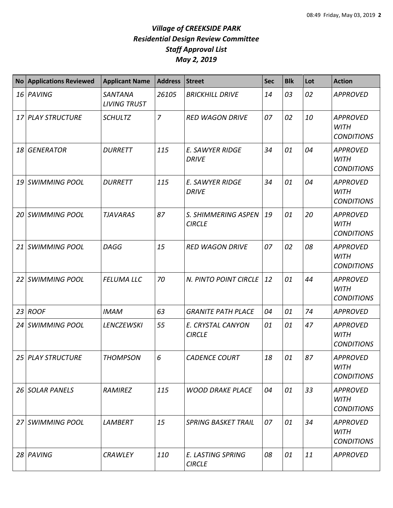| <b>No</b> | <b>Applications Reviewed</b> | <b>Applicant Name</b>          | <b>Address</b> | <b>Street</b>                             | <b>Sec</b> | <b>Blk</b> | Lot | <b>Action</b>                                       |
|-----------|------------------------------|--------------------------------|----------------|-------------------------------------------|------------|------------|-----|-----------------------------------------------------|
|           | 16 PAVING                    | SANTANA<br><b>LIVING TRUST</b> | 26105          | <b>BRICKHILL DRIVE</b>                    | 14         | 03         | 02  | <b>APPROVED</b>                                     |
| 17        | <b>PLAY STRUCTURE</b>        | <b>SCHULTZ</b>                 | $\overline{7}$ | <b>RED WAGON DRIVE</b>                    | 07         | 02         | 10  | <b>APPROVED</b><br><b>WITH</b><br><b>CONDITIONS</b> |
| 18        | <b>GENERATOR</b>             | <b>DURRETT</b>                 | 115            | <b>E. SAWYER RIDGE</b><br><b>DRIVE</b>    | 34         | 01         | 04  | <b>APPROVED</b><br><b>WITH</b><br><b>CONDITIONS</b> |
| 19        | <b>SWIMMING POOL</b>         | <b>DURRETT</b>                 | 115            | <b>E. SAWYER RIDGE</b><br><b>DRIVE</b>    | 34         | 01         | 04  | <b>APPROVED</b><br><b>WITH</b><br><b>CONDITIONS</b> |
| 20        | <b>SWIMMING POOL</b>         | <b>TJAVARAS</b>                | 87             | S. SHIMMERING ASPEN<br><b>CIRCLE</b>      | 19         | 01         | 20  | <b>APPROVED</b><br><b>WITH</b><br><b>CONDITIONS</b> |
| 21        | <b>SWIMMING POOL</b>         | <b>DAGG</b>                    | 15             | <b>RED WAGON DRIVE</b>                    | 07         | 02         | 08  | <b>APPROVED</b><br><b>WITH</b><br><b>CONDITIONS</b> |
| 22        | SWIMMING POOL                | <b>FELUMA LLC</b>              | 70             | N. PINTO POINT CIRCLE                     | 12         | 01         | 44  | <b>APPROVED</b><br><b>WITH</b><br><b>CONDITIONS</b> |
| 23        | <b>ROOF</b>                  | <b>IMAM</b>                    | 63             | <b>GRANITE PATH PLACE</b>                 | 04         | 01         | 74  | <b>APPROVED</b>                                     |
| 24        | <b>SWIMMING POOL</b>         | <b>LENCZEWSKI</b>              | 55             | E. CRYSTAL CANYON<br><b>CIRCLE</b>        | 01         | 01         | 47  | <b>APPROVED</b><br><b>WITH</b><br><b>CONDITIONS</b> |
|           | 25 PLAY STRUCTURE            | <b>THOMPSON</b>                | 6              | <b>CADENCE COURT</b>                      | 18         | 01         | 87  | <b>APPROVED</b><br><b>WITH</b><br><b>CONDITIONS</b> |
| 26        | <b>SOLAR PANELS</b>          | RAMIREZ                        | 115            | <b>WOOD DRAKE PLACE</b>                   | 04         | 01         | 33  | <b>APPROVED</b><br><b>WITH</b><br><b>CONDITIONS</b> |
| 27        | <b>SWIMMING POOL</b>         | LAMBERT                        | 15             | <b>SPRING BASKET TRAIL</b>                | 07         | 01         | 34  | <b>APPROVED</b><br><b>WITH</b><br><b>CONDITIONS</b> |
|           | 28 PAVING                    | <b>CRAWLEY</b>                 | 110            | <b>E. LASTING SPRING</b><br><b>CIRCLE</b> | 08         | 01         | 11  | APPROVED                                            |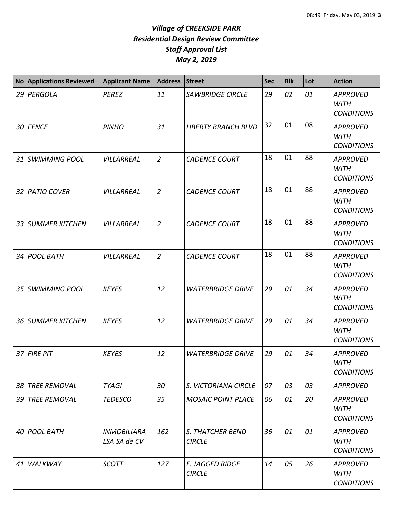|    | No Applications Reviewed | <b>Applicant Name</b>              | <b>Address</b> | <b>Street</b>                           | <b>Sec</b> | <b>Blk</b> | Lot | <b>Action</b>                                       |
|----|--------------------------|------------------------------------|----------------|-----------------------------------------|------------|------------|-----|-----------------------------------------------------|
|    | 29 PERGOLA               | <b>PEREZ</b>                       | 11             | <b>SAWBRIDGE CIRCLE</b>                 | 29         | 02         | 01  | <b>APPROVED</b><br><b>WITH</b><br><b>CONDITIONS</b> |
|    | 30 FENCE                 | <b>PINHO</b>                       | 31             | <b>LIBERTY BRANCH BLVD</b>              | 32         | 01         | 08  | <b>APPROVED</b><br><b>WITH</b><br><b>CONDITIONS</b> |
| 31 | SWIMMING POOL            | VILLARREAL                         | $\overline{2}$ | <b>CADENCE COURT</b>                    | 18         | 01         | 88  | <b>APPROVED</b><br><b>WITH</b><br><b>CONDITIONS</b> |
| 32 | <b>PATIO COVER</b>       | VILLARREAL                         | $\overline{2}$ | <b>CADENCE COURT</b>                    | 18         | 01         | 88  | <b>APPROVED</b><br><b>WITH</b><br><b>CONDITIONS</b> |
| 33 | <b>SUMMER KITCHEN</b>    | VILLARREAL                         | $\overline{2}$ | <b>CADENCE COURT</b>                    | 18         | 01         | 88  | <b>APPROVED</b><br><b>WITH</b><br><b>CONDITIONS</b> |
|    | 34 POOL BATH             | <b>VILLARREAL</b>                  | $\overline{2}$ | <b>CADENCE COURT</b>                    | 18         | 01         | 88  | <b>APPROVED</b><br><b>WITH</b><br><b>CONDITIONS</b> |
| 35 | SWIMMING POOL            | <b>KEYES</b>                       | 12             | <b>WATERBRIDGE DRIVE</b>                | 29         | 01         | 34  | <b>APPROVED</b><br><b>WITH</b><br><b>CONDITIONS</b> |
|    | 36 SUMMER KITCHEN        | <b>KEYES</b>                       | 12             | <b>WATERBRIDGE DRIVE</b>                | 29         | 01         | 34  | <b>APPROVED</b><br><b>WITH</b><br><b>CONDITIONS</b> |
| 37 | <b>FIRE PIT</b>          | <b>KEYES</b>                       | 12             | <b>WATERBRIDGE DRIVE</b>                | 29         | 01         | 34  | <b>APPROVED</b><br><b>WITH</b><br><b>CONDITIONS</b> |
|    | 38 TREE REMOVAL          | <b>TYAGI</b>                       | 30             | S. VICTORIANA CIRCLE                    | 07         | 03         | 03  | <b>APPROVED</b>                                     |
|    | 39 TREE REMOVAL          | <b>TEDESCO</b>                     | 35             | <b>MOSAIC POINT PLACE</b>               | 06         | 01         | 20  | <b>APPROVED</b><br><b>WITH</b><br><b>CONDITIONS</b> |
|    | 40 POOL BATH             | <b>INMOBILIARA</b><br>LSA SA de CV | 162            | S. THATCHER BEND<br><b>CIRCLE</b>       | 36         | 01         | 01  | <b>APPROVED</b><br>WITH<br><b>CONDITIONS</b>        |
| 41 | <b>WALKWAY</b>           | <b>SCOTT</b>                       | 127            | <b>E. JAGGED RIDGE</b><br><b>CIRCLE</b> | 14         | 05         | 26  | <b>APPROVED</b><br><b>WITH</b><br><b>CONDITIONS</b> |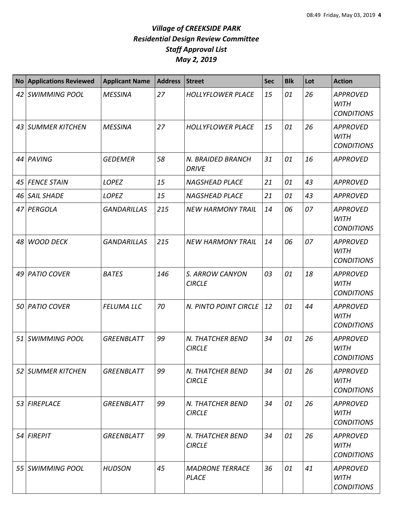|    | <b>No Applications Reviewed</b> | <b>Applicant Name</b> | <b>Address</b> | <b>Street</b>                          | <b>Sec</b> | <b>Blk</b> | Lot | <b>Action</b>                                       |
|----|---------------------------------|-----------------------|----------------|----------------------------------------|------------|------------|-----|-----------------------------------------------------|
|    | 42 SWIMMING POOL                | <b>MESSINA</b>        | 27             | <b>HOLLYFLOWER PLACE</b>               | 15         | 01         | 26  | <b>APPROVED</b><br><b>WITH</b><br><b>CONDITIONS</b> |
| 43 | SUMMER KITCHEN                  | <b>MESSINA</b>        | 27             | <b>HOLLYFLOWER PLACE</b>               | 15         | 01         | 26  | <b>APPROVED</b><br><b>WITH</b><br><b>CONDITIONS</b> |
|    | 44 PAVING                       | <b>GEDEMER</b>        | 58             | N. BRAIDED BRANCH<br><b>DRIVE</b>      | 31         | 01         | 16  | <b>APPROVED</b>                                     |
| 45 | <b>FENCE STAIN</b>              | <b>LOPEZ</b>          | 15             | <b>NAGSHEAD PLACE</b>                  | 21         | 01         | 43  | <b>APPROVED</b>                                     |
| 46 | <b>SAIL SHADE</b>               | LOPEZ                 | 15             | <b>NAGSHEAD PLACE</b>                  | 21         | 01         | 43  | <b>APPROVED</b>                                     |
| 47 | PERGOLA                         | <b>GANDARILLAS</b>    | 215            | <b>NEW HARMONY TRAIL</b>               | 14         | 06         | 07  | <b>APPROVED</b><br><b>WITH</b><br><b>CONDITIONS</b> |
|    | 48 WOOD DECK                    | <b>GANDARILLAS</b>    | 215            | <b>NEW HARMONY TRAIL</b>               | 14         | 06         | 07  | <b>APPROVED</b><br><b>WITH</b><br><b>CONDITIONS</b> |
|    | 49 PATIO COVER                  | <b>BATES</b>          | 146            | S. ARROW CANYON<br><b>CIRCLE</b>       | 03         | 01         | 18  | <b>APPROVED</b><br><b>WITH</b><br><b>CONDITIONS</b> |
| 50 | <b>PATIO COVER</b>              | <b>FELUMA LLC</b>     | 70             | N. PINTO POINT CIRCLE                  | 12         | 01         | 44  | <b>APPROVED</b><br><b>WITH</b><br><b>CONDITIONS</b> |
| 51 | <b>SWIMMING POOL</b>            | <b>GREENBLATT</b>     | 99             | N. THATCHER BEND<br><b>CIRCLE</b>      | 34         | 01         | 26  | <b>APPROVED</b><br><b>WITH</b><br><b>CONDITIONS</b> |
| 52 | <b>SUMMER KITCHEN</b>           | GREENBLATT            | 99             | N. THATCHER BEND<br><b>CIRCLE</b>      | 34         | 01         | 26  | <b>APPROVED</b><br><b>WITH</b><br><b>CONDITIONS</b> |
|    | 53 FIREPLACE                    | GREENBLATT            | 99             | N. THATCHER BEND<br><b>CIRCLE</b>      | 34         | 01         | 26  | <b>APPROVED</b><br><b>WITH</b><br><b>CONDITIONS</b> |
|    | 54 FIREPIT                      | GREENBLATT            | 99             | N. THATCHER BEND<br><b>CIRCLE</b>      | 34         | 01         | 26  | <b>APPROVED</b><br><b>WITH</b><br><b>CONDITIONS</b> |
|    | 55 SWIMMING POOL                | <b>HUDSON</b>         | 45             | <b>MADRONE TERRACE</b><br><b>PLACE</b> | 36         | 01         | 41  | <b>APPROVED</b><br><b>WITH</b><br><b>CONDITIONS</b> |